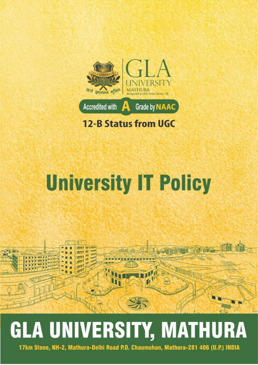

**12-B Status from UGC** 

## **University IT Policy**



# **GLA UNIVERSITY, MATHURA**

17km Stone, NH-2, Mathura-Delhi Road P.O. Chaumuhan, Mathura-281 406 (U.P.) INDIA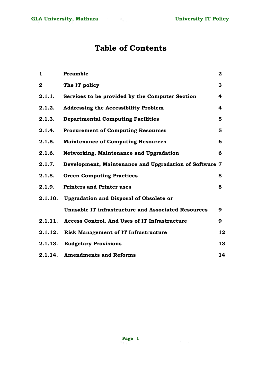## **Table of Contents**

| $\mathbf{1}$ | <b>Preamble</b>                                        | $\mathbf 2$ |
|--------------|--------------------------------------------------------|-------------|
| $\mathbf{2}$ | The IT policy                                          | 3           |
| 2.1.1.       | Services to be provided by the Computer Section        | 4           |
| 2.1.2.       | <b>Addressing the Accessibility Problem</b>            | 4           |
| 2.1.3.       | <b>Departmental Computing Facilities</b>               | 5           |
| 2.1.4.       | <b>Procurement of Computing Resources</b>              | 5           |
| 2.1.5.       | <b>Maintenance of Computing Resources</b>              | 6           |
| 2.1.6.       | Networking, Maintenance and Upgradation                | 6           |
| 2.1.7.       | Development, Maintenance and Upgradation of Software 7 |             |
| 2.1.8.       | <b>Green Computing Practices</b>                       | 8           |
| 2.1.9.       | <b>Printers and Printer uses</b>                       | 8           |
| 2.1.10.      | <b>Upgradation and Disposal of Obsolete or</b>         |             |
|              | Unusable IT infrastructure and Associated Resources    | 9           |
| 2.1.11.      | <b>Access Control. And Uses of IT Infrastructure</b>   | 9           |
| 2.1.12.      | <b>Risk Management of IT Infrastructure</b>            | 12          |
| 2.1.13.      | <b>Budgetary Provisions</b>                            | 13          |
|              | 2.1.14. Amendments and Reforms                         | 14          |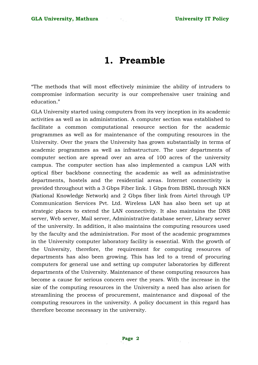## **1. Preamble**

"The methods that will most effectively minimize the ability of intruders to compromise information security is our comprehensive user training and education."

GLA University started using computers from its very inception in its academic activities as well as in administration. A computer section was established to facilitate a common computational resource section for the academic programmes as well as for maintenance of the computing resources in the University. Over the years the University has grown substantially in terms of academic programmes as well as infrastructure. The user departments of computer section are spread over an area of 100 acres of the university campus. The computer section has also implemented a campus LAN with optical fiber backbone connecting the academic as well as administrative departments, hostels and the residential areas. Internet connectivity is provided throughout with a 3 Gbps Fiber link. 1 Gbps from BSNL through NKN (National Knowledge Network) and 2 Gbps fiber link from Airtel through UP Communication Services Pvt. Ltd. Wireless LAN has also been set up at strategic places to extend the LAN connectivity. It also maintains the DNS server, Web server, Mail server, Administrative database server, Library server of the university. In addition, it also maintains the computing resources used by the faculty and the administration. For most of the academic programmes in the University computer laboratory facility is essential. With the growth of the University, therefore, the requirement for computing resources of departments has also been growing. This has led to a trend of procuring computers for general use and setting up computer laboratories by different departments of the University. Maintenance of these computing resources has become a cause for serious concern over the years. With the increase in the size of the computing resources in the University a need has also arisen for streamlining the process of procurement, maintenance and disposal of the computing resources in the university. A policy document in this regard has therefore become necessary in the university.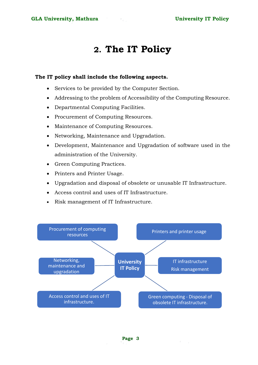## **2. The IT Policy**

#### **The IT policy shall include the following aspects.**

- Services to be provided by the Computer Section.
- Addressing to the problem of Accessibility of the Computing Resource.
- Departmental Computing Facilities.
- Procurement of Computing Resources.
- Maintenance of Computing Resources.
- Networking, Maintenance and Upgradation.
- Development, Maintenance and Upgradation of software used in the administration of the University.
- Green Computing Practices.
- Printers and Printer Usage.
- Upgradation and disposal of obsolete or unusable IT Infrastructure.
- Access control and uses of IT Infrastructure.
- Risk management of IT Infrastructure.

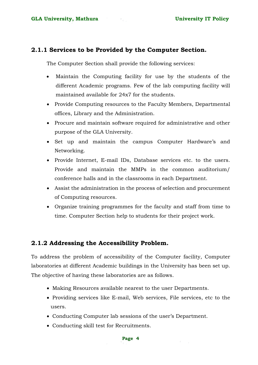#### **2.1.1 Services to be Provided by the Computer Section.**

The Computer Section shall provide the following services:

- Maintain the Computing facility for use by the students of the different Academic programs. Few of the lab computing facility will maintained available for 24x7 for the students.
- Provide Computing resources to the Faculty Members, Departmental offices, Library and the Administration.
- Procure and maintain software required for administrative and other purpose of the GLA University.
- Set up and maintain the campus Computer Hardware's and Networking.
- Provide Internet, E-mail IDs, Database services etc. to the users. Provide and maintain the MMPs in the common auditorium/ conference halls and in the classrooms in each Department.
- Assist the administration in the process of selection and procurement of Computing resources.
- Organize training programmes for the faculty and staff from time to time. Computer Section help to students for their project work.

#### **2.1.2 Addressing the Accessibility Problem.**

To address the problem of accessibility of the Computer facility, Computer laboratories at different Academic buildings in the University has been set up. The objective of having these laboratories are as follows.

- Making Resources available nearest to the user Departments.
- Providing services like E-mail, Web services, File services, etc to the users.
- Conducting Computer lab sessions of the user's Department.
- Conducting skill test for Recruitments.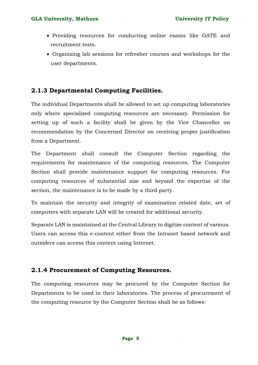- Providing resources for conducting online exams like GATE and recruitment tests.
- Organising lab sessions for refresher courses and workshops for the user departments.

### **2.1.3 Departmental Computing Facilities.**

The individual Departments shall be allowed to set up computing laboratories only where specialized computing resources are necessary. Permission for setting up of such a facility shall be given by the Vice Chancellor on recommendation by the Concerned Director on receiving proper justification from a Department.

The Department shall consult the Computer Section regarding the requirements for maintenance of the computing resources. The Computer Section shall provide maintenance support for computing resources. For computing resources of substantial size and beyond the expertise of the section, the maintenance is to be made by a third party.

To maintain the security and integrity of examination related date, set of computers with separate LAN will be created for additional security.

Separate LAN is maintained at the Central Library to digitize content of various. Users can access this e-content either from the Intranet based network and outsiders can access this content using Internet.

#### **2.1.4 Procurement of Computing Resources.**

The computing resources may be procured by the Computer Section for Departments to be used in their laboratories. The process of procurement of the computing resource by the Computer Section shall be as follows: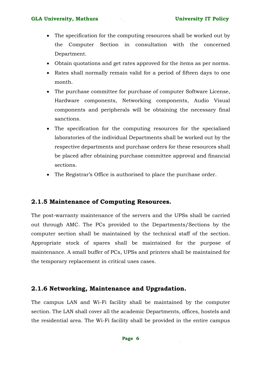#### GLA University, Mathura **Executes 12 and September 2016** University IT Policy

- The specification for the computing resources shall be worked out by the Computer Section in consultation with the concerned Department.
- Obtain quotations and get rates approved for the items as per norms.
- Rates shall normally remain valid for a period of fifteen days to one month.
- The purchase committee for purchase of computer Software License, Hardware components, Networking components, Audio Visual components and peripherals will be obtaining the necessary final sanctions.
- The specification for the computing resources for the specialised laboratories of the individual Departments shall be worked out by the respective departments and purchase orders for these resources shall be placed after obtaining purchase committee approval and financial sections.
- The Registrar's Office is authorised to place the purchase order.

#### **2.1.5 Maintenance of Computing Resources.**

The post-warranty maintenance of the servers and the UPSs shall be carried out through AMC. The PCs provided to the Departments/Sections by the computer section shall be maintained by the technical staff of the section. Appropriate stock of spares shall be maintained for the purpose of maintenance. A small buffer of PCs, UPSs and printers shall be maintained for the temporary replacement in critical uses cases.

#### **2.1.6 Networking, Maintenance and Upgradation.**

The campus LAN and Wi-Fi facility shall be maintained by the computer section. The LAN shall cover all the academic Departments, offices, hostels and the residential area. The Wi-Fi facility shall be provided in the entire campus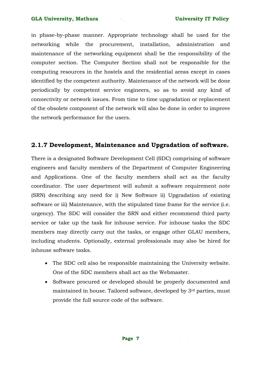in phase-by-phase manner. Appropriate technology shall be used for the networking while the procurement, installation, administration and maintenance of the networking equipment shall be the responsibility of the computer section. The Computer Section shall not be responsible for the computing resources in the hostels and the residential areas except in cases identified by the competent authority. Maintenance of the network will be done periodically by competent service engineers, so as to avoid any kind of connectivity or network issues. From time to time upgradation or replacement of the obsolete component of the network will also be done in order to improve the network performance for the users.

#### **2.1.7 Development, Maintenance and Upgradation of software.**

There is a designated Software Development Cell (SDC) comprising of software engineers and faculty members of the Department of Computer Engineering and Applications. One of the faculty members shall act as the faculty coordinator. The user department will submit a software requirement note (SRN) describing any need for i) New Software ii) Upgradation of existing software or iii) Maintenance, with the stipulated time frame for the service (i.e. urgency). The SDC will consider the SRN and either recommend third party service or take up the task for inhouse service. For inhouse tasks the SDC members may directly carry out the tasks, or engage other GLAU members, including students. Optionally, external professionals may also be hired for inhouse software tasks.

- The SDC cell also be responsible maintaining the University website. One of the SDC members shall act as the Webmaster.
- Software procured or developed should be properly documented and maintained in house. Tailored software, developed by 3rd parties, must provide the full source code of the software.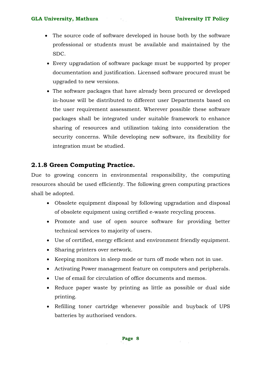#### GLA University, Mathura **Executes 18 and September 2016** University IT Policy

- The source code of software developed in house both by the software professional or students must be available and maintained by the SDC.
- Every upgradation of software package must be supported by proper documentation and justification. Licensed software procured must be upgraded to new versions.
- The software packages that have already been procured or developed in-house will be distributed to different user Departments based on the user requirement assessment. Wherever possible these software packages shall be integrated under suitable framework to enhance sharing of resources and utilization taking into consideration the security concerns. While developing new software, its flexibility for integration must be studied.

#### **2.1.8 Green Computing Practice.**

Due to growing concern in environmental responsibility, the computing resources should be used efficiently. The following green computing practices shall be adopted.

- Obsolete equipment disposal by following upgradation and disposal of obsolete equipment using certified e-waste recycling process.
- Promote and use of open source software for providing better technical services to majority of users.
- Use of certified, energy efficient and environment friendly equipment.
- Sharing printers over network.
- Keeping monitors in sleep mode or turn off mode when not in use.
- Activating Power management feature on computers and peripherals.
- Use of email for circulation of office documents and memos.
- Reduce paper waste by printing as little as possible or dual side printing.
- Refilling toner cartridge whenever possible and buyback of UPS batteries by authorised vendors.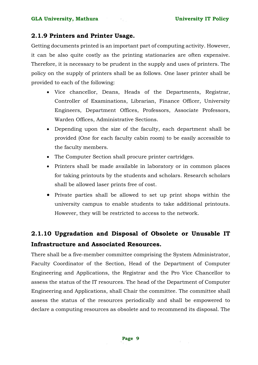#### **2.1.9 Printers and Printer Usage.**

Getting documents printed is an important part of computing activity. However, it can be also quite costly as the printing stationaries are often expensive. Therefore, it is necessary to be prudent in the supply and uses of printers. The policy on the supply of printers shall be as follows. One laser printer shall be provided to each of the following:

- Vice chancellor, Deans, Heads of the Departments, Registrar, Controller of Examinations, Librarian, Finance Officer, University Engineers, Department Offices, Professors, Associate Professors, Warden Offices, Administrative Sections.
- Depending upon the size of the faculty, each department shall be provided (One for each faculty cabin room) to be easily accessible to the faculty members.
- The Computer Section shall procure printer cartridges.
- Printers shall be made available in laboratory or in common places for taking printouts by the students and scholars. Research scholars shall be allowed laser prints free of cost.
- Private parties shall be allowed to set up print shops within the university campus to enable students to take additional printouts. However, they will be restricted to access to the network.

## **2.1.10 Upgradation and Disposal of Obsolete or Unusable IT Infrastructure and Associated Resources.**

There shall be a five-member committee comprising the System Administrator, Faculty Coordinator of the Section, Head of the Department of Computer Engineering and Applications, the Registrar and the Pro Vice Chancellor to assess the status of the IT resources. The head of the Department of Computer Engineering and Applications, shall Chair the committee. The committee shall assess the status of the resources periodically and shall be empowered to declare a computing resources as obsolete and to recommend its disposal. The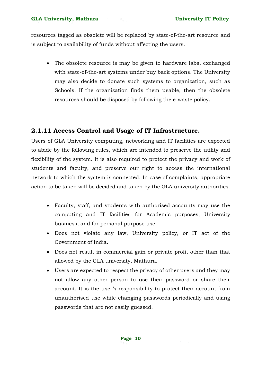resources tagged as obsolete will be replaced by state-of-the-art resource and is subject to availability of funds without affecting the users.

• The obsolete resource is may be given to hardware labs, exchanged with state-of-the-art systems under buy back options. The University may also decide to donate such systems to organization, such as Schools, If the organization finds them usable, then the obsolete resources should be disposed by following the e-waste policy.

#### **2.1.11 Access Control and Usage of IT Infrastructure.**

Users of GLA University computing, networking and IT facilities are expected to abide by the following rules, which are intended to preserve the utility and flexibility of the system. It is also required to protect the privacy and work of students and faculty, and preserve our right to access the international network to which the system is connected. In case of complaints, appropriate action to be taken will be decided and taken by the GLA university authorities.

- Faculty, staff, and students with authorised accounts may use the computing and IT facilities for Academic purposes, University business, and for personal purpose use.
- Does not violate any law, University policy, or IT act of the Government of India.
- Does not result in commercial gain or private profit other than that allowed by the GLA university, Mathura.
- Users are expected to respect the privacy of other users and they may not allow any other person to use their password or share their account. It is the user's responsibility to protect their account from unauthorised use while changing passwords periodically and using passwords that are not easily guessed.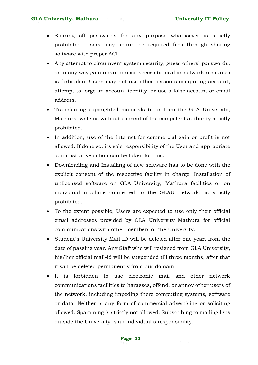#### GLA University, Mathura **Executes 12 and September 2016** University IT Policy

- Sharing off passwords for any purpose whatsoever is strictly prohibited. Users may share the required files through sharing software with proper ACL.
- Any attempt to circumvent system security, guess others` passwords, or in any way gain unauthorised access to local or network resources is forbidden. Users may not use other person`s computing account, attempt to forge an account identity, or use a false account or email address.
- Transferring copyrighted materials to or from the GLA University, Mathura systems without consent of the competent authority strictly prohibited.
- In addition, use of the Internet for commercial gain or profit is not allowed. If done so, its sole responsibility of the User and appropriate administrative action can be taken for this.
- Downloading and Installing of new software has to be done with the explicit consent of the respective facility in charge. Installation of unlicensed software on GLA University, Mathura facilities or on individual machine connected to the GLAU network, is strictly prohibited.
- To the extent possible, Users are expected to use only their official email addresses provided by GLA University Mathura for official communications with other members or the University.
- Student`s University Mail ID will be deleted after one year, from the date of passing year. Any Staff who will resigned from GLA University, his/her official mail-id will be suspended till three months, after that it will be deleted permanently from our domain.
- It is forbidden to use electronic mail and other network communications facilities to harasses, offend, or annoy other users of the network, including impeding there computing systems, software or data. Neither is any form of commercial advertising or soliciting allowed. Spamming is strictly not allowed. Subscribing to mailing lists outside the University is an individual`s responsibility.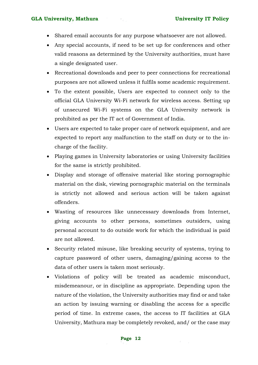#### GLA University, Mathura **Executes 18 and September 2016** University IT Policy

- Shared email accounts for any purpose whatsoever are not allowed.
- Any special accounts, if need to be set up for conferences and other valid reasons as determined by the University authorities, must have a single designated user.
- Recreational downloads and peer to peer connections for recreational purposes are not allowed unless it fulfils some academic requirement.
- To the extent possible, Users are expected to connect only to the official GLA University Wi-Fi network for wireless access. Setting up of unsecured Wi-Fi systems on the GLA University network is prohibited as per the IT act of Government of India.
- Users are expected to take proper care of network equipment, and are expected to report any malfunction to the staff on duty or to the incharge of the facility.
- Playing games in University laboratories or using University facilities for the same is strictly prohibited.
- Display and storage of offensive material like storing pornographic material on the disk, viewing pornographic material on the terminals is strictly not allowed and serious action will be taken against offenders.
- Wasting of resources like unnecessary downloads from Internet, giving accounts to other persons, sometimes outsiders, using personal account to do outside work for which the individual is paid are not allowed.
- Security related misuse, like breaking security of systems, trying to capture password of other users, damaging/gaining access to the data of other users is taken most seriously.
- Violations of policy will be treated as academic misconduct, misdemeanour, or in discipline as appropriate. Depending upon the nature of the violation, the University authorities may find or and take an action by issuing warning or disabling the access for a specific period of time. In extreme cases, the access to IT facilities at GLA University, Mathura may be completely revoked, and/ or the case may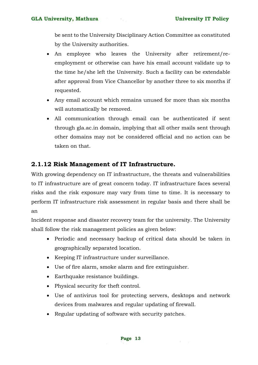be sent to the University Disciplinary Action Committee as constituted by the University authorities.

- An employee who leaves the University after retirement/reemployment or otherwise can have his email account validate up to the time he/she left the University. Such a facility can be extendable after approval from Vice Chancellor by another three to six months if requested.
- Any email account which remains unused for more than six months will automatically be removed.
- All communication through email can be authenticated if sent through gla.ac.in domain, implying that all other mails sent through other domains may not be considered official and no action can be taken on that.

#### **2.1.12 Risk Management of IT Infrastructure.**

With growing dependency on IT infrastructure, the threats and vulnerabilities to IT infrastructure are of great concern today. IT infrastructure faces several risks and the risk exposure may vary from time to time. It is necessary to perform IT infrastructure risk assessment in regular basis and there shall be an

Incident response and disaster recovery team for the university. The University shall follow the risk management policies as given below:

- Periodic and necessary backup of critical data should be taken in geographically separated location.
- Keeping IT infrastructure under surveillance.
- Use of fire alarm, smoke alarm and fire extinguisher.
- Earthquake resistance buildings.
- Physical security for theft control.
- Use of antivirus tool for protecting servers, desktops and network devices from malwares and regular updating of firewall.
- Regular updating of software with security patches.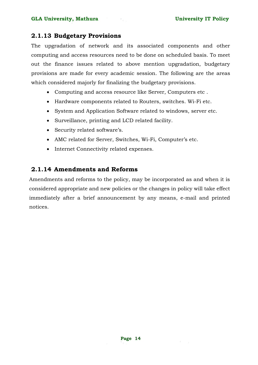#### **2.1.13 Budgetary Provisions**

The upgradation of network and its associated components and other computing and access resources need to be done on scheduled basis. To meet out the finance issues related to above mention upgradation, budgetary provisions are made for every academic session. The following are the areas which considered majorly for finalizing the budgetary provisions.

- Computing and access resource like Server, Computers etc .
- Hardware components related to Routers, switches. Wi-Fi etc.
- System and Application Software related to windows, server etc.
- Surveillance, printing and LCD related facility.
- Security related software's.
- AMC related for Server, Switches, Wi-Fi, Computer's etc.
- Internet Connectivity related expenses.

#### **2.1.14 Amendments and Reforms**

Amendments and reforms to the policy, may be incorporated as and when it is considered appropriate and new policies or the changes in policy will take effect immediately after a brief announcement by any means, e-mail and printed notices.